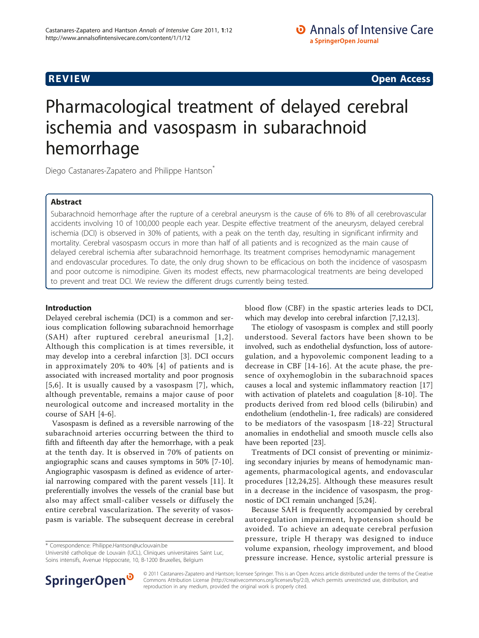**REVIEW CONSTRUCTION CONSTRUCTION CONSTRUCTS** 

# Pharmacological treatment of delayed cerebral ischemia and vasospasm in subarachnoid hemorrhage

Diego Castanares-Zapatero and Philippe Hantson<sup>®</sup>

# Abstract

Subarachnoid hemorrhage after the rupture of a cerebral aneurysm is the cause of 6% to 8% of all cerebrovascular accidents involving 10 of 100,000 people each year. Despite effective treatment of the aneurysm, delayed cerebral ischemia (DCI) is observed in 30% of patients, with a peak on the tenth day, resulting in significant infirmity and mortality. Cerebral vasospasm occurs in more than half of all patients and is recognized as the main cause of delayed cerebral ischemia after subarachnoid hemorrhage. Its treatment comprises hemodynamic management and endovascular procedures. To date, the only drug shown to be efficacious on both the incidence of vasospasm and poor outcome is nimodipine. Given its modest effects, new pharmacological treatments are being developed to prevent and treat DCI. We review the different drugs currently being tested.

# Introduction

Delayed cerebral ischemia (DCI) is a common and serious complication following subarachnoid hemorrhage (SAH) after ruptured cerebral aneurismal [[1](#page-4-0),[2\]](#page-4-0). Although this complication is at times reversible, it may develop into a cerebral infarction [[3\]](#page-4-0). DCI occurs in approximately 20% to 40% [[4](#page-4-0)] of patients and is associated with increased mortality and poor prognosis [[5](#page-4-0),[6](#page-4-0)]. It is usually caused by a vasospasm [[7\]](#page-4-0), which, although preventable, remains a major cause of poor neurological outcome and increased mortality in the course of SAH [[4](#page-4-0)-[6\]](#page-4-0).

Vasospasm is defined as a reversible narrowing of the subarachnoid arteries occurring between the third to fifth and fifteenth day after the hemorrhage, with a peak at the tenth day. It is observed in 70% of patients on angiographic scans and causes symptoms in 50% [[7-10](#page-4-0)]. Angiographic vasospasm is defined as evidence of arterial narrowing compared with the parent vessels [[11\]](#page-4-0). It preferentially involves the vessels of the cranial base but also may affect small-caliber vessels or diffusely the entire cerebral vascularization. The severity of vasospasm is variable. The subsequent decrease in cerebral

\* Correspondence: [Philippe.Hantson@uclouvain.be](mailto:Philippe.Hantson@uclouvain.be)

Université catholique de Louvain (UCL), Cliniques universitaires Saint Luc, Soins intensifs, Avenue Hippocrate, 10, B-1200 Bruxelles, Belgium

blood flow (CBF) in the spastic arteries leads to DCI, which may develop into cerebral infarction [[7,12,13](#page-4-0)].

The etiology of vasospasm is complex and still poorly understood. Several factors have been shown to be involved, such as endothelial dysfunction, loss of autoregulation, and a hypovolemic component leading to a decrease in CBF [[14](#page-4-0)[-16](#page-5-0)]. At the acute phase, the presence of oxyhemoglobin in the subarachnoid spaces causes a local and systemic inflammatory reaction [\[17](#page-5-0)] with activation of platelets and coagulation [\[8](#page-4-0)-[10](#page-4-0)]. The products derived from red blood cells (bilirubin) and endothelium (endothelin-1, free radicals) are considered to be mediators of the vasospasm [[18-22](#page-5-0)] Structural anomalies in endothelial and smooth muscle cells also have been reported [\[23\]](#page-5-0).

Treatments of DCI consist of preventing or minimizing secondary injuries by means of hemodynamic managements, pharmacological agents, and endovascular procedures [[12,](#page-4-0)[24](#page-5-0),[25\]](#page-5-0). Although these measures result in a decrease in the incidence of vasospasm, the prognostic of DCI remain unchanged [\[5](#page-4-0)[,24\]](#page-5-0).

Because SAH is frequently accompanied by cerebral autoregulation impairment, hypotension should be avoided. To achieve an adequate cerebral perfusion pressure, triple H therapy was designed to induce volume expansion, rheology improvement, and blood pressure increase. Hence, systolic arterial pressure is



© 2011 Castanares-Zapatero and Hantson; licensee Springer. This is an Open Access article distributed under the terms of the Creative Commons Attribution License [\(http://creativecommons.org/licenses/by/2.0](http://creativecommons.org/licenses/by/2.0)), which permits unrestricted use, distribution, and reproduction in any medium, provided the original work is properly cited.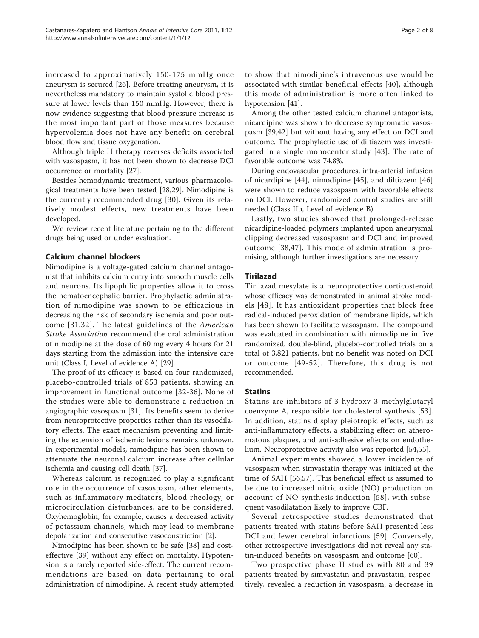increased to approximatively 150-175 mmHg once aneurysm is secured [[26\]](#page-5-0). Before treating aneurysm, it is nevertheless mandatory to maintain systolic blood pressure at lower levels than 150 mmHg. However, there is now evidence suggesting that blood pressure increase is the most important part of those measures because hypervolemia does not have any benefit on cerebral blood flow and tissue oxygenation.

Although triple H therapy reverses deficits associated with vasospasm, it has not been shown to decrease DCI occurrence or mortality [\[27](#page-5-0)].

Besides hemodynamic treatment, various pharmacological treatments have been tested [\[28](#page-5-0),[29](#page-5-0)]. Nimodipine is the currently recommended drug [\[30\]](#page-5-0). Given its relatively modest effects, new treatments have been developed.

We review recent literature pertaining to the different drugs being used or under evaluation.

## Calcium channel blockers

Nimodipine is a voltage-gated calcium channel antagonist that inhibits calcium entry into smooth muscle cells and neurons. Its lipophilic properties allow it to cross the hematoencephalic barrier. Prophylactic administration of nimodipine was shown to be efficacious in decreasing the risk of secondary ischemia and poor outcome [[31](#page-5-0),[32](#page-5-0)]. The latest guidelines of the American Stroke Association recommend the oral administration of nimodipine at the dose of 60 mg every 4 hours for 21 days starting from the admission into the intensive care unit (Class I, Level of evidence A) [[29\]](#page-5-0).

The proof of its efficacy is based on four randomized, placebo-controlled trials of 853 patients, showing an improvement in functional outcome [[32-36](#page-5-0)]. None of the studies were able to demonstrate a reduction in angiographic vasospasm [[31](#page-5-0)]. Its benefits seem to derive from neuroprotective properties rather than its vasodilatory effects. The exact mechanism preventing and limiting the extension of ischemic lesions remains unknown. In experimental models, nimodipine has been shown to attenuate the neuronal calcium increase after cellular ischemia and causing cell death [\[37\]](#page-5-0).

Whereas calcium is recognized to play a significant role in the occurrence of vasospasm, other elements, such as inflammatory mediators, blood rheology, or microcirculation disturbances, are to be considered. Oxyhemoglobin, for example, causes a decreased activity of potassium channels, which may lead to membrane depolarization and consecutive vasoconstriction [[2\]](#page-4-0).

Nimodipine has been shown to be safe [[38](#page-5-0)] and costeffective [[39\]](#page-5-0) without any effect on mortality. Hypotension is a rarely reported side-effect. The current recommendations are based on data pertaining to oral administration of nimodipine. A recent study attempted

to show that nimodipine's intravenous use would be associated with similar beneficial effects [\[40\]](#page-5-0), although this mode of administration is more often linked to hypotension [[41](#page-5-0)].

Among the other tested calcium channel antagonists, nicardipine was shown to decrease symptomatic vasospasm [\[39,42](#page-5-0)] but without having any effect on DCI and outcome. The prophylactic use of diltiazem was investigated in a single monocenter study [[43](#page-5-0)]. The rate of favorable outcome was 74.8%.

During endovascular procedures, intra-arterial infusion of nicardipine [[44\]](#page-5-0), nimodipine [[45\]](#page-5-0), and diltiazem [\[46](#page-5-0)] were shown to reduce vasospasm with favorable effects on DCI. However, randomized control studies are still needed (Class IIb, Level of evidence B).

Lastly, two studies showed that prolonged-release nicardipine-loaded polymers implanted upon aneurysmal clipping decreased vasospasm and DCI and improved outcome [[38](#page-5-0),[47\]](#page-5-0). This mode of administration is promising, although further investigations are necessary.

## Tirilazad

Tirilazad mesylate is a neuroprotective corticosteroid whose efficacy was demonstrated in animal stroke models [[48](#page-5-0)]. It has antioxidant properties that block free radical-induced peroxidation of membrane lipids, which has been shown to facilitate vasospasm. The compound was evaluated in combination with nimodipine in five randomized, double-blind, placebo-controlled trials on a total of 3,821 patients, but no benefit was noted on DCI or outcome [[49](#page-5-0)-[52\]](#page-5-0). Therefore, this drug is not recommended.

#### **Statins**

Statins are inhibitors of 3-hydroxy-3-methylglutaryl coenzyme A, responsible for cholesterol synthesis [[53](#page-5-0)]. In addition, statins display pleiotropic effects, such as anti-inflammatory effects, a stabilizing effect on atheromatous plaques, and anti-adhesive effects on endothelium. Neuroprotective activity also was reported [[54,55](#page-5-0)].

Animal experiments showed a lower incidence of vasospasm when simvastatin therapy was initiated at the time of SAH [\[56,57](#page-5-0)]. This beneficial effect is assumed to be due to increased nitric oxide (NO) production on account of NO synthesis induction [[58](#page-6-0)], with subsequent vasodilatation likely to improve CBF.

Several retrospective studies demonstrated that patients treated with statins before SAH presented less DCI and fewer cerebral infarctions [[59](#page-6-0)]. Conversely, other retrospective investigations did not reveal any statin-induced benefits on vasospasm and outcome [[60](#page-6-0)].

Two prospective phase II studies with 80 and 39 patients treated by simvastatin and pravastatin, respectively, revealed a reduction in vasospasm, a decrease in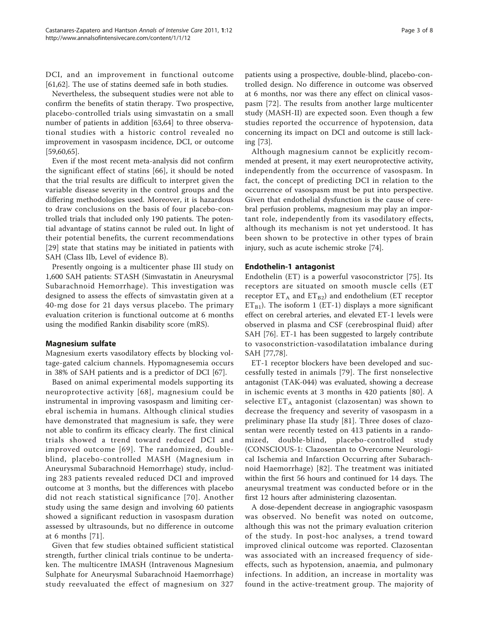DCI, and an improvement in functional outcome [[61,62\]](#page-6-0). The use of statins deemed safe in both studies.

Nevertheless, the subsequent studies were not able to confirm the benefits of statin therapy. Two prospective, placebo-controlled trials using simvastatin on a small number of patients in addition [\[63,64](#page-6-0)] to three observational studies with a historic control revealed no improvement in vasospasm incidence, DCI, or outcome [[59,60,65](#page-6-0)].

Even if the most recent meta-analysis did not confirm the significant effect of statins [[66](#page-6-0)], it should be noted that the trial results are difficult to interpret given the variable disease severity in the control groups and the differing methodologies used. Moreover, it is hazardous to draw conclusions on the basis of four placebo-controlled trials that included only 190 patients. The potential advantage of statins cannot be ruled out. In light of their potential benefits, the current recommendations [[29](#page-5-0)] state that statins may be initiated in patients with SAH (Class IIb, Level of evidence B).

Presently ongoing is a multicenter phase III study on 1,600 SAH patients: STASH (Simvastatin in Aneurysmal Subarachnoid Hemorrhage). This investigation was designed to assess the effects of simvastatin given at a 40-mg dose for 21 days versus placebo. The primary evaluation criterion is functional outcome at 6 months using the modified Rankin disability score (mRS).

#### Magnesium sulfate

Magnesium exerts vasodilatory effects by blocking voltage-gated calcium channels. Hypomagnesemia occurs in 38% of SAH patients and is a predictor of DCI [\[67\]](#page-6-0).

Based on animal experimental models supporting its neuroprotective activity [[68](#page-6-0)], magnesium could be instrumental in improving vasospasm and limiting cerebral ischemia in humans. Although clinical studies have demonstrated that magnesium is safe, they were not able to confirm its efficacy clearly. The first clinical trials showed a trend toward reduced DCI and improved outcome [[69](#page-6-0)]. The randomized, doubleblind, placebo-controlled MASH (Magnesium in Aneurysmal Subarachnoid Hemorrhage) study, including 283 patients revealed reduced DCI and improved outcome at 3 months, but the differences with placebo did not reach statistical significance [[70](#page-6-0)]. Another study using the same design and involving 60 patients showed a significant reduction in vasospasm duration assessed by ultrasounds, but no difference in outcome at 6 months [\[71](#page-6-0)].

Given that few studies obtained sufficient statistical strength, further clinical trials continue to be undertaken. The multicentre IMASH (Intravenous Magnesium Sulphate for Aneurysmal Subarachnoid Haemorrhage) study reevaluated the effect of magnesium on 327

patients using a prospective, double-blind, placebo-controlled design. No difference in outcome was observed at 6 months, nor was there any effect on clinical vasospasm [[72](#page-6-0)]. The results from another large multicenter study (MASH-II) are expected soon. Even though a few studies reported the occurrence of hypotension, data concerning its impact on DCI and outcome is still lacking [[73\]](#page-6-0).

Although magnesium cannot be explicitly recommended at present, it may exert neuroprotective activity, independently from the occurrence of vasospasm. In fact, the concept of predicting DCI in relation to the occurrence of vasospasm must be put into perspective. Given that endothelial dysfunction is the cause of cerebral perfusion problems, magnesium may play an important role, independently from its vasodilatory effects, although its mechanism is not yet understood. It has been shown to be protective in other types of brain injury, such as acute ischemic stroke [[74\]](#page-6-0).

#### Endothelin-1 antagonist

Endothelin (ET) is a powerful vasoconstrictor [[75\]](#page-6-0). Its receptors are situated on smooth muscle cells (ET receptor  $ET_A$  and  $ET_{B2}$ ) and endothelium (ET receptor  $ET_{B1}$ ). The isoform 1 (ET-1) displays a more significant effect on cerebral arteries, and elevated ET-1 levels were observed in plasma and CSF (cerebrospinal fluid) after SAH [[76](#page-6-0)]. ET-1 has been suggested to largely contribute to vasoconstriction-vasodilatation imbalance during SAH [[77,78](#page-6-0)].

ET-1 receptor blockers have been developed and successfully tested in animals [[79](#page-6-0)]. The first nonselective antagonist (TAK-044) was evaluated, showing a decrease in ischemic events at 3 months in 420 patients [\[80\]](#page-6-0). A selective  $ET_A$  antagonist (clazosentan) was shown to decrease the frequency and severity of vasospasm in a preliminary phase IIa study [[81](#page-6-0)]. Three doses of clazosentan were recently tested on 413 patients in a randomized, double-blind, placebo-controlled study (CONSCIOUS-1: Clazosentan to Overcome Neurological Ischemia and Infarction Occurring after Subarachnoid Haemorrhage) [[82](#page-6-0)]. The treatment was initiated within the first 56 hours and continued for 14 days. The aneurysmal treatment was conducted before or in the first 12 hours after administering clazosentan.

A dose-dependent decrease in angiographic vasospasm was observed. No benefit was noted on outcome, although this was not the primary evaluation criterion of the study. In post-hoc analyses, a trend toward improved clinical outcome was reported. Clazosentan was associated with an increased frequency of sideeffects, such as hypotension, anaemia, and pulmonary infections. In addition, an increase in mortality was found in the active-treatment group. The majority of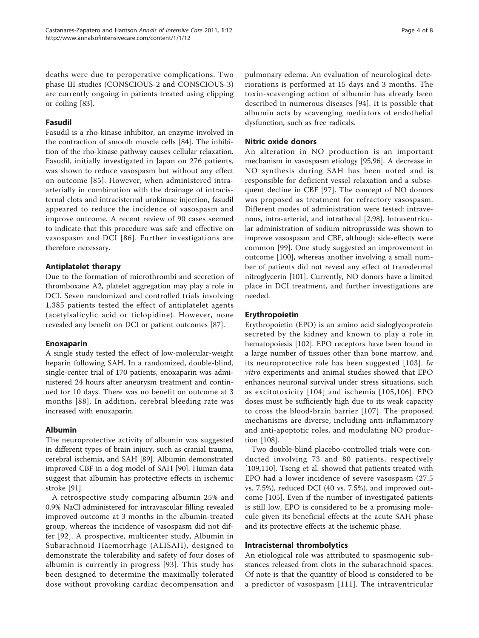deaths were due to peroperative complications. Two phase III studies (CONSCIOUS-2 and CONSCIOUS-3) are currently ongoing in patients treated using clipping or coiling [\[83](#page-6-0)].

# Fasudil

Fasudil is a rho-kinase inhibitor, an enzyme involved in the contraction of smooth muscle cells [\[84\]](#page-6-0). The inhibition of the rho-kinase pathway causes cellular relaxation. Fasudil, initially investigated in Japan on 276 patients, was shown to reduce vasospasm but without any effect on outcome [[85](#page-6-0)]. However, when administered intraarterially in combination with the drainage of intracisternal clots and intracisternal urokinase injection, fasudil appeared to reduce the incidence of vasospasm and improve outcome. A recent review of 90 cases seemed to indicate that this procedure was safe and effective on vasospasm and DCI [[86](#page-6-0)]. Further investigations are therefore necessary.

## Antiplatelet therapy

Due to the formation of microthrombi and secretion of thromboxane A2, platelet aggregation may play a role in DCI. Seven randomized and controlled trials involving 1,385 patients tested the effect of antiplatelet agents (acetylsalicylic acid or ticlopidine). However, none revealed any benefit on DCI or patient outcomes [[87\]](#page-6-0).

#### Enoxaparin

A single study tested the effect of low-molecular-weight heparin following SAH. In a randomized, double-blind, single-center trial of 170 patients, enoxaparin was administered 24 hours after aneurysm treatment and continued for 10 days. There was no benefit on outcome at 3 months [[88\]](#page-6-0). In addition, cerebral bleeding rate was increased with enoxaparin.

## Albumin

The neuroprotective activity of albumin was suggested in different types of brain injury, such as cranial trauma, cerebral ischemia, and SAH [\[89\]](#page-6-0). Albumin demonstrated improved CBF in a dog model of SAH [\[90](#page-6-0)]. Human data suggest that albumin has protective effects in ischemic stroke [\[91\]](#page-6-0).

A retrospective study comparing albumin 25% and 0.9% NaCl administered for intravascular filling revealed improved outcome at 3 months in the albumin-treated group, whereas the incidence of vasospasm did not differ [[92](#page-6-0)]. A prospective, multicenter study, Albumin in Subarachnoid Haemorrhage (ALISAH), designed to demonstrate the tolerability and safety of four doses of albumin is currently in progress [[93\]](#page-6-0). This study has been designed to determine the maximally tolerated dose without provoking cardiac decompensation and

pulmonary edema. An evaluation of neurological deteriorations is performed at 15 days and 3 months. The toxin-scavenging action of albumin has already been described in numerous diseases [[94\]](#page-6-0). It is possible that albumin acts by scavenging mediators of endothelial dysfunction, such as free radicals.

## Nitric oxide donors

An alteration in NO production is an important mechanism in vasospasm etiology [[95](#page-6-0),[96](#page-7-0)]. A decrease in NO synthesis during SAH has been noted and is responsible for deficient vessel relaxation and a subsequent decline in CBF [[97\]](#page-7-0). The concept of NO donors was proposed as treatment for refractory vasospasm. Different modes of administration were tested: intravenous, intra-arterial, and intrathecal [[2,](#page-4-0)[98\]](#page-7-0). Intraventricular administration of sodium nitroprusside was shown to improve vasospasm and CBF, although side-effects were common [\[99](#page-7-0)]. One study suggested an improvement in outcome [\[100\]](#page-7-0), whereas another involving a small number of patients did not reveal any effect of transdermal nitroglycerin [[101\]](#page-7-0). Currently, NO donors have a limited place in DCI treatment, and further investigations are needed.

## Erythropoietin

Erythropoietin (EPO) is an amino acid sialoglycoprotein secreted by the kidney and known to play a role in hematopoiesis [[102\]](#page-7-0). EPO receptors have been found in a large number of tissues other than bone marrow, and its neuroprotective role has been suggested [\[103](#page-7-0)]. In vitro experiments and animal studies showed that EPO enhances neuronal survival under stress situations, such as excitotoxicity [[104](#page-7-0)] and ischemia [[105,106](#page-7-0)]. EPO doses must be sufficiently high due to its weak capacity to cross the blood-brain barrier [[107](#page-7-0)]. The proposed mechanisms are diverse, including anti-inflammatory and anti-apoptotic roles, and modulating NO production [\[108\]](#page-7-0).

Two double-blind placebo-controlled trials were conducted involving 73 and 80 patients, respectively [[109,110\]](#page-7-0). Tseng et al. showed that patients treated with EPO had a lower incidence of severe vasospasm (27.5 vs. 7.5%), reduced DCI (40 vs. 7.5%), and improved outcome [[105\]](#page-7-0). Even if the number of investigated patients is still low, EPO is considered to be a promising molecule given its beneficial effects at the acute SAH phase and its protective effects at the ischemic phase.

#### Intracisternal thrombolytics

An etiological role was attributed to spasmogenic substances released from clots in the subarachnoid spaces. Of note is that the quantity of blood is considered to be a predictor of vasospasm [\[111](#page-7-0)]. The intraventricular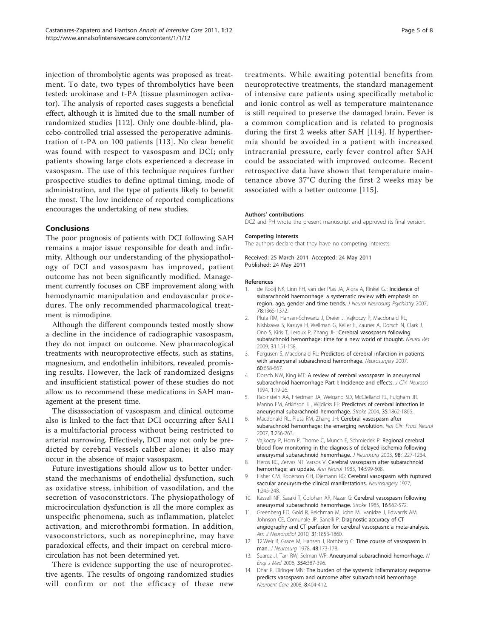<span id="page-4-0"></span>injection of thrombolytic agents was proposed as treatment. To date, two types of thrombolytics have been tested: urokinase and t-PA (tissue plasminogen activator). The analysis of reported cases suggests a beneficial effect, although it is limited due to the small number of randomized studies [[112\]](#page-7-0). Only one double-blind, placebo-controlled trial assessed the peroperative administration of t-PA on 100 patients [\[113](#page-7-0)]. No clear benefit was found with respect to vasospasm and DCI; only patients showing large clots experienced a decrease in vasospasm. The use of this technique requires further prospective studies to define optimal timing, mode of administration, and the type of patients likely to benefit the most. The low incidence of reported complications encourages the undertaking of new studies.

## Conclusions

The poor prognosis of patients with DCI following SAH remains a major issue responsible for death and infirmity. Although our understanding of the physiopathology of DCI and vasospasm has improved, patient outcome has not been significantly modified. Management currently focuses on CBF improvement along with hemodynamic manipulation and endovascular procedures. The only recommended pharmacological treatment is nimodipine.

Although the different compounds tested mostly show a decline in the incidence of radiographic vasospasm, they do not impact on outcome. New pharmacological treatments with neuroprotective effects, such as statins, magnesium, and endothelin inhibitors, revealed promising results. However, the lack of randomized designs and insufficient statistical power of these studies do not allow us to recommend these medications in SAH management at the present time.

The disassociation of vasospasm and clinical outcome also is linked to the fact that DCI occurring after SAH is a multifactorial process without being restricted to arterial narrowing. Effectively, DCI may not only be predicted by cerebral vessels caliber alone; it also may occur in the absence of major vasospasm.

Future investigations should allow us to better understand the mechanisms of endothelial dysfunction, such as oxidative stress, inhibition of vasodilation, and the secretion of vasoconstrictors. The physiopathology of microcirculation dysfunction is all the more complex as unspecific phenomena, such as inflammation, platelet activation, and microthrombi formation. In addition, vasoconstrictors, such as norepinephrine, may have paradoxical effects, and their impact on cerebral microcirculation has not been determined yet.

There is evidence supporting the use of neuroprotective agents. The results of ongoing randomized studies will confirm or not the efficacy of these new

treatments. While awaiting potential benefits from neuroprotective treatments, the standard management of intensive care patients using specifically metabolic and ionic control as well as temperature maintenance is still required to preserve the damaged brain. Fever is a common complication and is related to prognosis during the first 2 weeks after SAH [[114](#page-7-0)]. If hyperthermia should be avoided in a patient with increased intracranial pressure, early fever control after SAH could be associated with improved outcome. Recent retrospective data have shown that temperature maintenance above 37°C during the first 2 weeks may be associated with a better outcome [\[115](#page-7-0)].

#### Authors' contributions

DCZ and PH wrote the present manuscript and approved its final version.

The authors declare that they have no competing interests.

Received: 25 March 2011 Accepted: 24 May 2011 Published: 24 May 2011

#### References

- 1. de Rooij NK, Linn FH, van der Plas JA, Algra A, Rinkel GJ: [Incidence of](http://www.ncbi.nlm.nih.gov/pubmed/17470467?dopt=Abstract) [subarachnoid haemorrhage: a systematic review with emphasis on](http://www.ncbi.nlm.nih.gov/pubmed/17470467?dopt=Abstract) [region, age, gender and time trends.](http://www.ncbi.nlm.nih.gov/pubmed/17470467?dopt=Abstract) J Neurol Neurosurg Psychiatry 2007, 78:1365-1372.
- 2. Pluta RM, Hansen-Schwartz J, Dreier J, Vajkoczy P, Macdonald RL, Nishizawa S, Kasuya H, Wellman G, Keller E, Zauner A, Dorsch N, Clark J, Ono S, Kiris T, Leroux P, Zhang JH: [Cerebral vasospasm following](http://www.ncbi.nlm.nih.gov/pubmed/19298755?dopt=Abstract) [subarachnoid hemorrhage: time for a new world of thought.](http://www.ncbi.nlm.nih.gov/pubmed/19298755?dopt=Abstract) Neurol Res 2009, 31:151-158.
- 3. Fergusen S, Macdonald RL: [Predictors of cerebral infarction in patients](http://www.ncbi.nlm.nih.gov/pubmed/17415202?dopt=Abstract) [with aneurysmal subarachnoid hemorrhage.](http://www.ncbi.nlm.nih.gov/pubmed/17415202?dopt=Abstract) Neurosurgery 2007, 60:658-667.
- 4. Dorsch NW, King MT: [A review of cerebral vasospasm in aneurysmal](http://www.ncbi.nlm.nih.gov/pubmed/18638721?dopt=Abstract) [subarachnoid haemorrhage Part I: Incidence and effects.](http://www.ncbi.nlm.nih.gov/pubmed/18638721?dopt=Abstract) J Clin Neurosci 1994, 1:19-26.
- 5. Rabinstein AA, Friedman JA, Weigand SD, McClelland RL, Fulgham JR, Manno EM, Atkinson JL, Wijdicks EF: [Predictors of cerebral infarction in](http://www.ncbi.nlm.nih.gov/pubmed/15218156?dopt=Abstract) [aneurysmal subarachnoid hemorrhage.](http://www.ncbi.nlm.nih.gov/pubmed/15218156?dopt=Abstract) Stroke 2004, 35:1862-1866.
- 6. Macdonald RL, Pluta RM, Zhang JH: [Cerebral vasospasm after](http://www.ncbi.nlm.nih.gov/pubmed/17479073?dopt=Abstract) [subarachnoid hemorrhage: the emerging revolution.](http://www.ncbi.nlm.nih.gov/pubmed/17479073?dopt=Abstract) Nat Clin Pract Neurol 2007, 3:256-263.
- 7. Vajkoczy P, Horn P, Thome C, Munch E, Schmiedek P: [Regional cerebral](http://www.ncbi.nlm.nih.gov/pubmed/12816269?dopt=Abstract) [blood flow monitoring in the diagnosis of delayed ischemia following](http://www.ncbi.nlm.nih.gov/pubmed/12816269?dopt=Abstract) [aneurysmal subarachnoid hemorrhage.](http://www.ncbi.nlm.nih.gov/pubmed/12816269?dopt=Abstract) J Neurosurg 2003, 98:1227-1234.
- 8. Heros RC, Zervas NT, Varsos V: [Cerebral vasospasm after subarachnoid](http://www.ncbi.nlm.nih.gov/pubmed/6651248?dopt=Abstract) [hemorrhage: an update.](http://www.ncbi.nlm.nih.gov/pubmed/6651248?dopt=Abstract) Ann Neurol 1983, 14:599-608.
- 9. Fisher CM, Roberson GH, Ojemann RG: [Cerebral vasospasm with ruptured](http://www.ncbi.nlm.nih.gov/pubmed/615969?dopt=Abstract) [saccular aneurysm-the clinical manifestations.](http://www.ncbi.nlm.nih.gov/pubmed/615969?dopt=Abstract) Neurosurgery 1977, 1:245-248.
- 10. Kassell NF, Sasaki T, Colohan AR, Nazar G: [Cerebral vasospasm following](http://www.ncbi.nlm.nih.gov/pubmed/3895589?dopt=Abstract) [aneurysmal subarachnoid hemorrhage.](http://www.ncbi.nlm.nih.gov/pubmed/3895589?dopt=Abstract) Stroke 1985, 16:562-572.
- 11. Greenberg ED, Gold R, Reichman M, John M, Ivanidze J, Edwards AM, Johnson CE, Comunale JP, Sanelli P: [Diagnostic accuracy of CT](http://www.ncbi.nlm.nih.gov/pubmed/20884748?dopt=Abstract) [angiography and CT perfusion for cerebral vasospasm: a meta-analysis.](http://www.ncbi.nlm.nih.gov/pubmed/20884748?dopt=Abstract) Am J Neuroradiol 2010, 31:1853-1860.
- 12. 12. Weir B, Grace M, Hansen J, Rothberg C: [Time course of vasospasm in](http://www.ncbi.nlm.nih.gov/pubmed/624965?dopt=Abstract) [man.](http://www.ncbi.nlm.nih.gov/pubmed/624965?dopt=Abstract) J Neurosurg 1978, 48:173-178.
- 13. Suarez Jl, Tarr RW, Selman WR: [Aneurysmal subarachnoid hemorrhage.](http://www.ncbi.nlm.nih.gov/pubmed/16436770?dopt=Abstract) N Engl J Med 2006, 354:387-396.
- 14. Dhar R, Diringer MN: [The burden of the systemic inflammatory response](http://www.ncbi.nlm.nih.gov/pubmed/18196475?dopt=Abstract) [predicts vasospasm and outcome after subarachnoid hemorrhage.](http://www.ncbi.nlm.nih.gov/pubmed/18196475?dopt=Abstract) Neurocrit Care 2008, 8:404-412.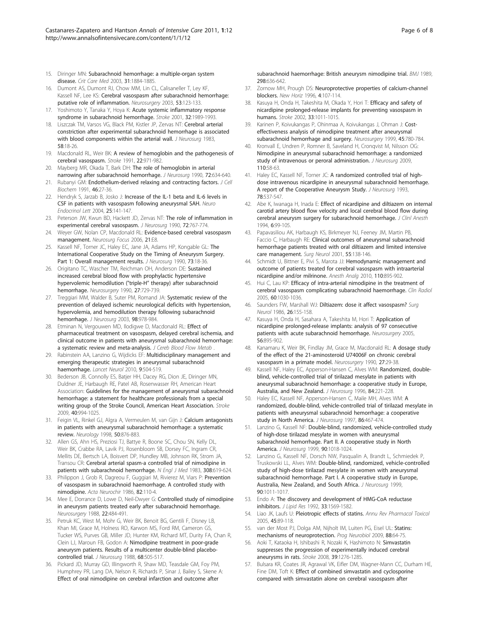- <span id="page-5-0"></span>15. Diringer MN: [Subarachnoid hemorrhage: a multiple-organ system](http://www.ncbi.nlm.nih.gov/pubmed/12794446?dopt=Abstract) [disease.](http://www.ncbi.nlm.nih.gov/pubmed/12794446?dopt=Abstract) Crit Care Med 2003, 31:1884-1885.
- 16. Dumont AS, Dumont RJ, Chow MM, Lin CL, Calisaneller T, Ley KF, Kassell NF, Lee KS: [Cerebral vasospasm after subarachnoid hemorrhage:](http://www.ncbi.nlm.nih.gov/pubmed/12823881?dopt=Abstract) [putative role of inflammation.](http://www.ncbi.nlm.nih.gov/pubmed/12823881?dopt=Abstract) Neurosurgery 2003, 53:123-133.
- 17. Yoshimoto Y, Tanaka Y, Hoya K: [Acute systemic inflammatory response](http://www.ncbi.nlm.nih.gov/pubmed/11546886?dopt=Abstract) [syndrome in subarachnoid hemorrhage.](http://www.ncbi.nlm.nih.gov/pubmed/11546886?dopt=Abstract) Stroke 2001, 32:1989-1993.
- 18. Liszczak TM, Varsos VG, Black PM, Kistler JP, Zervas NT: [Cerebral arterial](http://www.ncbi.nlm.nih.gov/pubmed/6847905?dopt=Abstract) [constriction after experimental subarachnoid hemorrhage is associated](http://www.ncbi.nlm.nih.gov/pubmed/6847905?dopt=Abstract) [with blood components within the arterial wall.](http://www.ncbi.nlm.nih.gov/pubmed/6847905?dopt=Abstract) J Neurosurg 1983, 58:18-26.
- 19. Macdonald RL, Weir BK: [A review of hemoglobin and the pathogenesis of](http://www.ncbi.nlm.nih.gov/pubmed/1866764?dopt=Abstract) [cerebral vasospasm.](http://www.ncbi.nlm.nih.gov/pubmed/1866764?dopt=Abstract) Stroke 1991, 22:971-982.
- 20. Mayberg MR, Okada T, Bark DH: [The role of hemoglobin in arterial](http://www.ncbi.nlm.nih.gov/pubmed/2319322?dopt=Abstract) [narrowing after subarachnoid hemorrhage.](http://www.ncbi.nlm.nih.gov/pubmed/2319322?dopt=Abstract) J Neurosurg 1990, 72:634-640.
- 21. Rubanyi GM: [Endothelium-derived relaxing and contracting factors.](http://www.ncbi.nlm.nih.gov/pubmed/1874796?dopt=Abstract) J Cell Biochem 1991, 46:27-36.
- 22. Hendryk S, Jarzab B, Josko J: [Increase of the IL-1 beta and IL-6 levels in](http://www.ncbi.nlm.nih.gov/pubmed/15735598?dopt=Abstract) [CSF in patients with vasospasm following aneurysmal SAH.](http://www.ncbi.nlm.nih.gov/pubmed/15735598?dopt=Abstract) Neuro Endocrinol Lett 2004, 25:141-147.
- 23. Peterson JW, Kwun BD, Hackett JD, Zervas NT: [The role of inflammation in](http://www.ncbi.nlm.nih.gov/pubmed/2182792?dopt=Abstract) [experimental cerebral vasospasm.](http://www.ncbi.nlm.nih.gov/pubmed/2182792?dopt=Abstract) J Neurosurg 1990, 72:767-774.
- 24. Weyer GW, Nolan CP, Macdonald RL: [Evidence-based cerebral vasospasm](http://www.ncbi.nlm.nih.gov/pubmed/17341052?dopt=Abstract) [management.](http://www.ncbi.nlm.nih.gov/pubmed/17341052?dopt=Abstract) Neurosurg Focus 2006, 21:E8.
- 25. Kassell NF, Torner JC, Haley EC, Jane JA, Adams HP, Kongable GL: [The](http://www.ncbi.nlm.nih.gov/pubmed/2191090?dopt=Abstract) [International Cooperative Study on the Timing of Aneurysm Surgery.](http://www.ncbi.nlm.nih.gov/pubmed/2191090?dopt=Abstract) [Part 1: Overall management results.](http://www.ncbi.nlm.nih.gov/pubmed/2191090?dopt=Abstract) J Neurosurg 1990, 73:18-36.
- 26. Origitano TC, Wascher TM, Reichman OH, Anderson DF: [Sustained](http://www.ncbi.nlm.nih.gov/pubmed/2259403?dopt=Abstract) [increased cerebral blood flow with prophylactic hypertensive](http://www.ncbi.nlm.nih.gov/pubmed/2259403?dopt=Abstract) [hypervolemic hemodilution \("triple-H](http://www.ncbi.nlm.nih.gov/pubmed/2259403?dopt=Abstract)" therapy) after subarachnoid [hemorrhage.](http://www.ncbi.nlm.nih.gov/pubmed/2259403?dopt=Abstract) Neurosurgery 1990, 27:729-739.
- 27. Treggiari MM, Walder B, Suter PM, Romand JA: [Systematic review of the](http://www.ncbi.nlm.nih.gov/pubmed/12744357?dopt=Abstract) [prevention of delayed ischemic neurological deficits with hypertension,](http://www.ncbi.nlm.nih.gov/pubmed/12744357?dopt=Abstract) [hypervolemia, and hemodilution therapy following subarachnoid](http://www.ncbi.nlm.nih.gov/pubmed/12744357?dopt=Abstract) [hemorrhage.](http://www.ncbi.nlm.nih.gov/pubmed/12744357?dopt=Abstract) J Neurosurg 2003, 98:978-984.
- 28. Etminan N, Vergouwen MD, Ilodigwe D, Macdonald RL: Effect of pharmaceutical treatment on vasospasm, delayed cerebral ischemia, and clinical outcome in patients with aneurysmal subarachnoid hemorrhage: a systematic review and meta-analysis. J Cereb Blood Flow Metab
- 29. Rabinstein AA, Lanzino G, Wijdicks EF: [Multidisciplinary management and](http://www.ncbi.nlm.nih.gov/pubmed/20398858?dopt=Abstract) [emerging therapeutic strategies in aneurysmal subarachnoid](http://www.ncbi.nlm.nih.gov/pubmed/20398858?dopt=Abstract) [haemorrhage.](http://www.ncbi.nlm.nih.gov/pubmed/20398858?dopt=Abstract) Lancet Neurol 2010, 9:504-519.
- 30. Bederson JB, Connolly ES, Batjer HH, Dacey RG, Dion JE, Diringer MN, Duldner JE, Harbaugh RE, Patel AB, Rosenwasser RH, American Heart Association: [Guidelines for the management of aneurysmal subarachnoid](http://www.ncbi.nlm.nih.gov/pubmed/19164800?dopt=Abstract) [hemorrhage: a statement for healthcare professionals from a special](http://www.ncbi.nlm.nih.gov/pubmed/19164800?dopt=Abstract) [writing group of the Stroke Council, American Heart Association.](http://www.ncbi.nlm.nih.gov/pubmed/19164800?dopt=Abstract) Stroke 2009, 40:994-1025.
- 31. Feigin VL, Rinkel GJ, Algra A, Vermeulen M, van Gijn J: [Calcium antagonists](http://www.ncbi.nlm.nih.gov/pubmed/9566366?dopt=Abstract) [in patients with aneurysmal subarachnoid hemorrhage: a systematic](http://www.ncbi.nlm.nih.gov/pubmed/9566366?dopt=Abstract) [review.](http://www.ncbi.nlm.nih.gov/pubmed/9566366?dopt=Abstract) Neurology 1998, 50:876-883.
- 32. Allen GS, Ahn HS, Preziosi TJ, Battye R, Boone SC, Chou SN, Kelly DL, Weir BK, Crabbe RA, Lavik PJ, Rosenbloom SB, Dorsey FC, Ingram CR, Mellits DE, Bertsch LA, Boisvert DP, Hundley MB, Johnson RK, Strom JA, Transou CR: [Cerebral arterial spasm-a controlled trial of nimodipine in](http://www.ncbi.nlm.nih.gov/pubmed/6338383?dopt=Abstract) [patients with subarachnoid hemorrhage.](http://www.ncbi.nlm.nih.gov/pubmed/6338383?dopt=Abstract) N Engl J Med 1983, 308:619-624.
- 33. Philippon J, Grob R, Dagreou F, Guggiari M, Rivierez M, Viars P: Prevention of vasospasm in subarachnoid haemorrhage. A controlled study with nimodipine. Acta Neurochir 1986, 82:110-4.
- 34. Mee E, Dorrance D, Lowe D, Neil-Dwyer G: [Controlled study of nimodipine](http://www.ncbi.nlm.nih.gov/pubmed/3283595?dopt=Abstract) [in aneurysm patients treated early after subarachnoid hemorrhage.](http://www.ncbi.nlm.nih.gov/pubmed/3283595?dopt=Abstract) Neurosurgery 1988, 22:484-491.
- 35. Petruk KC, West M, Mohr G, Weir BK, Benoit BG, Gentili F, Disney LB, Khan MI, Grace M, Holness RO, Karwon MS, Ford RM, Cameron GS, Tucker WS, Purves GB, Miller JD, Hunter KM, Richard MT, Durity FA, Chan R, Clein LJ, Maroun FB, Godon A: [Nimodipine treatment in poor-grade](http://www.ncbi.nlm.nih.gov/pubmed/3280746?dopt=Abstract) [aneurysm patients. Results of a multicenter double-blind placebo](http://www.ncbi.nlm.nih.gov/pubmed/3280746?dopt=Abstract)[controlled trial.](http://www.ncbi.nlm.nih.gov/pubmed/3280746?dopt=Abstract) J Neurosurg 1988, 68:505-517.
- 36. Pickard JD, Murray GD, Illingworth R, Shaw MD, Teasdale GM, Foy PM, Humphrey PR, Lang DA, Nelson R, Richards P, Sinar J, Bailey S, Skene A: [Effect of oral nimodipine on cerebral infarction and outcome after](http://www.ncbi.nlm.nih.gov/pubmed/2496789?dopt=Abstract)

[subarachnoid haemorrhage: British aneurysm nimodipine trial.](http://www.ncbi.nlm.nih.gov/pubmed/2496789?dopt=Abstract) BMJ 1989. 298:636-642.

- 37. Zornow MH, Prough DS: [Neuroprotective properties of calcium-channel](http://www.ncbi.nlm.nih.gov/pubmed/8689265?dopt=Abstract) [blockers.](http://www.ncbi.nlm.nih.gov/pubmed/8689265?dopt=Abstract) New Horiz 1996, 4:107-114.
- 38. Kasuya H, Onda H, Takeshita M, Okada Y, Hori T: [Efficacy and safety of](http://www.ncbi.nlm.nih.gov/pubmed/11935053?dopt=Abstract) [nicardipine prolonged-release implants for preventing vasospasm in](http://www.ncbi.nlm.nih.gov/pubmed/11935053?dopt=Abstract) [humans.](http://www.ncbi.nlm.nih.gov/pubmed/11935053?dopt=Abstract) Stroke 2002, 33:1011-1015.
- 39. Karinen P, Koivukangas P, Ohinmaa A, Koivukangas J, Ohman J: [Cost](http://www.ncbi.nlm.nih.gov/pubmed/10515471?dopt=Abstract)[effectiveness analysis of nimodipine treatment after aneurysmal](http://www.ncbi.nlm.nih.gov/pubmed/10515471?dopt=Abstract) [subarachnoid hemorrhage and surgery.](http://www.ncbi.nlm.nih.gov/pubmed/10515471?dopt=Abstract) Neurosurgery 1999, 45:780-784.
- 40. Kronvall E, Undren P, Romner B, Saveland H, Cronqvist M, Nilsson OG: [Nimodipine in aneurysmal subarachnoid hemorrhage: a randomized](http://www.ncbi.nlm.nih.gov/pubmed/18847340?dopt=Abstract) [study of intravenous or peroral administration.](http://www.ncbi.nlm.nih.gov/pubmed/18847340?dopt=Abstract) J Neurosurg 2009, 110:58-63.
- 41. Haley EC, Kassell NF, Torner JC: [A randomized controlled trial of high](http://www.ncbi.nlm.nih.gov/pubmed/8450326?dopt=Abstract)[dose intravenous nicardipine in aneurysmal subarachnoid hemorrhage.](http://www.ncbi.nlm.nih.gov/pubmed/8450326?dopt=Abstract) [A report of the Cooperative Aneurysm Study.](http://www.ncbi.nlm.nih.gov/pubmed/8450326?dopt=Abstract) J Neurosurg 1993, 78:537-547.
- 42. Abe K, Iwanaga H, Inada E: Effect of nicardipine and diltiazem on internal carotid artery blood flow velocity and local cerebral blood flow during cerebral aneurysm surgery for subarachnoid hemorrhage. J Clinl Anesth 1994, 6:99-105.
- 43. Papavasiliou AK, Harbaugh KS, Birkmeyer NJ, Feeney JM, Martin PB, Faccio C, Harbaugh RE: [Clinical outcomes of aneurysmal subarachnoid](http://www.ncbi.nlm.nih.gov/pubmed/11311906?dopt=Abstract) [hemorrhage patients treated with oral diltiazem and limited intensive](http://www.ncbi.nlm.nih.gov/pubmed/11311906?dopt=Abstract) [care management.](http://www.ncbi.nlm.nih.gov/pubmed/11311906?dopt=Abstract) Surg Neurol 2001, 55:138-146.
- 44. Schmidt U, Bittner E, Pivi S, Marota JJ: [Hemodynamic management and](http://www.ncbi.nlm.nih.gov/pubmed/20185665?dopt=Abstract) [outcome of patients treated for cerebral vasospasm with intraarterial](http://www.ncbi.nlm.nih.gov/pubmed/20185665?dopt=Abstract) [nicardipine and/or milrinone.](http://www.ncbi.nlm.nih.gov/pubmed/20185665?dopt=Abstract) Anesth Analg 2010, 110:895-902.
- 45. Hui C, Lau KP: [Efficacy of intra-arterial nimodipine in the treatment of](http://www.ncbi.nlm.nih.gov/pubmed/16124986?dopt=Abstract) [cerebral vasospasm complicating subarachnoid haemorrhage.](http://www.ncbi.nlm.nih.gov/pubmed/16124986?dopt=Abstract) Clin Radiol 2005, 60:1030-1036.
- 46. Saunders FW, Marshall WJ: [Diltiazem: dose it affect vasospasm?](http://www.ncbi.nlm.nih.gov/pubmed/3523805?dopt=Abstract) Surg Neurol 1986, 26:155-158.
- 47. Kasuya H, Onda H, Sasahara A, Takeshita M, Hori T: [Application of](http://www.ncbi.nlm.nih.gov/pubmed/15854236?dopt=Abstract) [nicardipine prolonged-release implants: analysis of 97 consecutive](http://www.ncbi.nlm.nih.gov/pubmed/15854236?dopt=Abstract) [patients with acute subarachnoid hemorrhage.](http://www.ncbi.nlm.nih.gov/pubmed/15854236?dopt=Abstract) Neurosurgery 2005, 56:895-902.
- 48. Kanamaru K, Weir BK, Findlay JM, Grace M, Macdonald RL: [A dosage study](http://www.ncbi.nlm.nih.gov/pubmed/2377279?dopt=Abstract) [of the effect of the 21-aminosteroid U74006F on chronic cerebral](http://www.ncbi.nlm.nih.gov/pubmed/2377279?dopt=Abstract) [vasospasm in a primate model.](http://www.ncbi.nlm.nih.gov/pubmed/2377279?dopt=Abstract) Neurosurgery 1990, 27:29-38.
- Kassell NF, Haley EC, Apperson-Hansen C, Alves WM: [Randomized, double](http://www.ncbi.nlm.nih.gov/pubmed/8592224?dopt=Abstract)[blind, vehicle-controlled trial of tirilazad mesylate in patients with](http://www.ncbi.nlm.nih.gov/pubmed/8592224?dopt=Abstract) [aneurysmal subarachnoid hemorrhage: a cooperative study in Europe,](http://www.ncbi.nlm.nih.gov/pubmed/8592224?dopt=Abstract) [Australia, and New Zealand.](http://www.ncbi.nlm.nih.gov/pubmed/8592224?dopt=Abstract) J Neurosurg 1996, 84:221-228.
- 50. Haley EC, Kassell NF, Apperson-Hansen C, Maile MH, Alves WM: [A](http://www.ncbi.nlm.nih.gov/pubmed/9046304?dopt=Abstract) [randomized, double-blind, vehicle-controlled trial of tirilazad mesylate in](http://www.ncbi.nlm.nih.gov/pubmed/9046304?dopt=Abstract) [patients with aneurysmal subarachnoid hemorrhage: a cooperative](http://www.ncbi.nlm.nih.gov/pubmed/9046304?dopt=Abstract) [study in North America.](http://www.ncbi.nlm.nih.gov/pubmed/9046304?dopt=Abstract) J Neurosurg 1997, 86:467-474.
- 51. Lanzino G, Kassell NF: [Double-blind, randomized, vehicle-controlled study](http://www.ncbi.nlm.nih.gov/pubmed/10350246?dopt=Abstract) [of high-dose tirilazad mesylate in women with aneurysmal](http://www.ncbi.nlm.nih.gov/pubmed/10350246?dopt=Abstract) [subarachnoid hemorrhage. Part II. A cooperative study in North](http://www.ncbi.nlm.nih.gov/pubmed/10350246?dopt=Abstract) [America.](http://www.ncbi.nlm.nih.gov/pubmed/10350246?dopt=Abstract) J Neurosurg 1999, 90:1018-1024.
- 52. Lanzino G, Kassell NF, Dorsch NW, Pasqualin A, Brandt L, Schmiedek P, Truskowski LL, Alves WM: [Double-blind, randomized, vehicle-controlled](http://www.ncbi.nlm.nih.gov/pubmed/10350245?dopt=Abstract) [study of high-dose tirilazad mesylate in women with aneurysmal](http://www.ncbi.nlm.nih.gov/pubmed/10350245?dopt=Abstract) [subarachnoid hemorrhage. Part I. A cooperative study in Europe,](http://www.ncbi.nlm.nih.gov/pubmed/10350245?dopt=Abstract) [Australia, New Zealand, and South Africa.](http://www.ncbi.nlm.nih.gov/pubmed/10350245?dopt=Abstract) J Neurosurg 1999, 90:1011-1017.
- 53. Endo A: [The discovery and development of HMG-CoA reductase](http://www.ncbi.nlm.nih.gov/pubmed/1464741?dopt=Abstract) [inhibitors.](http://www.ncbi.nlm.nih.gov/pubmed/1464741?dopt=Abstract) J Lipid Res 1992, 33:1569-1582.
- 54. Liao JK, Laufs U: [Pleiotropic effects of statins.](http://www.ncbi.nlm.nih.gov/pubmed/15822172?dopt=Abstract) Annu Rev Pharmacol Toxicol 2005, 45:89-118.
- 55. van der Most PJ, Dolga AM, Nijholt IM, Luiten PG, Eisel UL: [Statins:](http://www.ncbi.nlm.nih.gov/pubmed/19428962?dopt=Abstract) [mechanisms of neuroprotection.](http://www.ncbi.nlm.nih.gov/pubmed/19428962?dopt=Abstract) Prog Neurobiol 2009, 88:64-75.
- 56. Aoki T, Kataoka H, Ishibashi R, Nozaki K, Hashimoto N: [Simvastatin](http://www.ncbi.nlm.nih.gov/pubmed/18309148?dopt=Abstract) [suppresses the progression of experimentally induced cerebral](http://www.ncbi.nlm.nih.gov/pubmed/18309148?dopt=Abstract) [aneurysms in rats.](http://www.ncbi.nlm.nih.gov/pubmed/18309148?dopt=Abstract) Stroke 2008, 39:1276-1285.
- 57. Bulsara KR, Coates JR, Agrawal VK, Eifler DM, Wagner-Mann CC, Durham HE, Fine DM, Toft K: [Effect of combined simvastatin and cyclosporine](http://www.ncbi.nlm.nih.gov/pubmed/17341045?dopt=Abstract) [compared with simvastatin alone on cerebral vasospasm after](http://www.ncbi.nlm.nih.gov/pubmed/17341045?dopt=Abstract)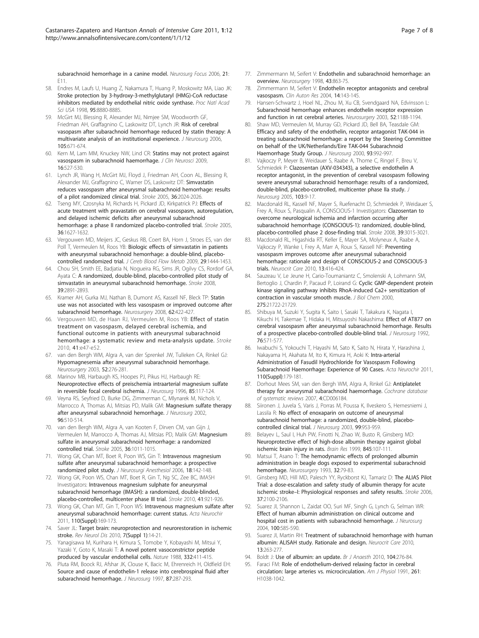<span id="page-6-0"></span>[subarachnoid hemorrhage in a canine model.](http://www.ncbi.nlm.nih.gov/pubmed/17341045?dopt=Abstract) Neurosura Focus 2006, 21: E11.

- 58. Endres M, Laufs U, Huang Z, Nakamura T, Huang P, Moskowitz MA, Liao JK: [Stroke protection by 3-hydroxy-3-methylglutaryl \(HMG\)-CoA reductase](http://www.ncbi.nlm.nih.gov/pubmed/9671773?dopt=Abstract) [inhibitors mediated by endothelial nitric oxide synthase.](http://www.ncbi.nlm.nih.gov/pubmed/9671773?dopt=Abstract) Proc Natl Acad Sci USA 1998, 95:8880-8885.
- 59. McGirt MJ, Blessing R, Alexander MJ, Nimjee SM, Woodworth GF, Friedman AH, Graffagnino C, Laskowitz DT, Lynch JR: [Risk of cerebral](http://www.ncbi.nlm.nih.gov/pubmed/17121126?dopt=Abstract) [vasopasm after subarachnoid hemorrhage reduced by statin therapy: A](http://www.ncbi.nlm.nih.gov/pubmed/17121126?dopt=Abstract) [multivariate analysis of an institutional experience.](http://www.ncbi.nlm.nih.gov/pubmed/17121126?dopt=Abstract) J Neurosurg 2006, 105:671-674.
- 60. Kern M, Lam MM, Knuckey NW, Lind CR: [Statins may not protect against](http://www.ncbi.nlm.nih.gov/pubmed/19231192?dopt=Abstract) [vasospasm in subarachnoid haemorrhage.](http://www.ncbi.nlm.nih.gov/pubmed/19231192?dopt=Abstract) J Clin Neurosci 2009, 16:527-530.
- 61. Lynch JR, Wang H, McGirt MJ, Floyd J, Friedman AH, Coon AL, Blessing R, Alexander MJ, Graffagnino C, Warner DS, Laskowitz DT: [Simvastatin](http://www.ncbi.nlm.nih.gov/pubmed/16051891?dopt=Abstract) [reduces vasospasm after aneurysmal subarachnoid hemorrhage: results](http://www.ncbi.nlm.nih.gov/pubmed/16051891?dopt=Abstract) [of a pilot randomized clinical trial.](http://www.ncbi.nlm.nih.gov/pubmed/16051891?dopt=Abstract) Stroke 2005, 36:2024-2026.
- 62. Tseng MY, Czosnyka M, Richards H, Pickard JD, Kirkpatrick PJ: [Effects of](http://www.ncbi.nlm.nih.gov/pubmed/16049199?dopt=Abstract) [acute treatment with pravastatin on cerebral vasospasm, autoregulation,](http://www.ncbi.nlm.nih.gov/pubmed/16049199?dopt=Abstract) [and delayed ischemic deficits after aneurysmal subarachnoid](http://www.ncbi.nlm.nih.gov/pubmed/16049199?dopt=Abstract) [hemorrhage: a phase II randomized placebo-controlled trial.](http://www.ncbi.nlm.nih.gov/pubmed/16049199?dopt=Abstract) Stroke 2005, 36:1627-1632.
- 63. Vergouwen MD, Meijers JC, Geskus RB, Coert BA, Horn J, Stroes ES, van der Poll T, Vermeulen M, Roos YB: [Biologic effects of simvastatin in patients](http://www.ncbi.nlm.nih.gov/pubmed/19458605?dopt=Abstract) [with aneurysmal subarachnoid hemorrhage: a double-blind, placebo](http://www.ncbi.nlm.nih.gov/pubmed/19458605?dopt=Abstract)[controlled randomized trial.](http://www.ncbi.nlm.nih.gov/pubmed/19458605?dopt=Abstract) J Cereb Blood Flow Metab 2009, 29:1444-1453.
- 64. Chou SH, Smith EE, Badjatia N, Nogueira RG, Sims JR, Ogilvy CS, Rordorf GA, Ayata C: [A randomized, double-blind, placebo-controlled pilot study of](http://www.ncbi.nlm.nih.gov/pubmed/18658043?dopt=Abstract) [simvastatin in aneurysmal subarachnoid hemorrhage.](http://www.ncbi.nlm.nih.gov/pubmed/18658043?dopt=Abstract) Stroke 2008, 39:2891-2893.
- 65. Kramer AH, Gurka MJ, Nathan B, Dumont AS, Kassell NF, Bleck TP: [Statin](http://www.ncbi.nlm.nih.gov/pubmed/18382320?dopt=Abstract) [use was not associated with less vasospasm or improved outcome after](http://www.ncbi.nlm.nih.gov/pubmed/18382320?dopt=Abstract) [subarachnoid hemorrhage.](http://www.ncbi.nlm.nih.gov/pubmed/18382320?dopt=Abstract) Neurosurgery 2008, 62:422-427.
- 66. Vergouwen MD, de Haan RJ, Vermeulen M, Roos YB: [Effect of statin](http://www.ncbi.nlm.nih.gov/pubmed/19875741?dopt=Abstract) [treatment on vasospasm, delayed cerebral ischemia, and](http://www.ncbi.nlm.nih.gov/pubmed/19875741?dopt=Abstract) [functional outcome in patients with aneurysmal subarachnoid](http://www.ncbi.nlm.nih.gov/pubmed/19875741?dopt=Abstract) [hemorrhage: a systematic review and meta-analysis update.](http://www.ncbi.nlm.nih.gov/pubmed/19875741?dopt=Abstract) Stroke 2010, 41:e47-e52.
- 67. van den Bergh WM, Algra A, van der Sprenkel JW, Tulleken CA, Rinkel GJ: [Hypomagnesemia after aneurysmal subarachnoid hemorrhage.](http://www.ncbi.nlm.nih.gov/pubmed/12535355?dopt=Abstract) Neurosurgery 2003, 52:276-281.
- 68. Marinov MB, Harbaugh KS, Hoopes PJ, Pikus HJ, Harbaugh RE: [Neuroprotective effects of preischemia intraarterial magnesium sulfate](http://www.ncbi.nlm.nih.gov/pubmed/8683260?dopt=Abstract) [in reversible focal cerebral ischemia.](http://www.ncbi.nlm.nih.gov/pubmed/8683260?dopt=Abstract) J Neurosurg 1996, 85:117-124.
- 69. Veyna RS, Seyfried D, Burke DG, Zimmerman C, Mlynarek M, Nichols V, Marrocco A, Thomas AJ, Mitsias PD, Malik GM: [Magnesium sulfate therapy](http://www.ncbi.nlm.nih.gov/pubmed/11883835?dopt=Abstract) [after aneurysmal subarachnoid hemorrhage.](http://www.ncbi.nlm.nih.gov/pubmed/11883835?dopt=Abstract) J Neurosurg 2002, 96:510-514.
- 70. van den Bergh WM, Algra A, van Kooten F, Dirven CM, van Gijn J, Vermeulen M, Marrocco A, Thomas AJ, Mitsias PD, Malik GM: [Magnesium](http://www.ncbi.nlm.nih.gov/pubmed/15790946?dopt=Abstract) [sulfate in aneurysmal subarachnoid hemorrhage: a randomized](http://www.ncbi.nlm.nih.gov/pubmed/15790946?dopt=Abstract) [controlled](http://www.ncbi.nlm.nih.gov/pubmed/15790946?dopt=Abstract) trial. Stroke 2005, 36:1011-1015.
- 71. Wong GK, Chan MT, Boet R, Poon WS, Gin T: Intravenous magnesium sulfate after aneurysmal subarachnoid hemorrhage: a prospective randomized pilot study. J Neurosurgi Anesthesiol 2006, 18:142-148.
- 72. Wong GK, Poon WS, Chan MT, Boet R, Gin T, Ng SC, Zee BC, IMASH Investigators: [Intravenous magnesium sulphate for aneurysmal](http://www.ncbi.nlm.nih.gov/pubmed/20378868?dopt=Abstract) [subarachnoid hemorrhage \(IMASH\): a randomized, double-blinded,](http://www.ncbi.nlm.nih.gov/pubmed/20378868?dopt=Abstract) [placebo-controlled, multicenter phase III trial.](http://www.ncbi.nlm.nih.gov/pubmed/20378868?dopt=Abstract) Stroke 2010, 41:921-926.
- 73. Wong GK, Chan MT, Gin T, Poon WS: Intravenous magnesium sulfate after aneurysmal subarachnoid hemorrhage: current status. Acta Neurochir 2011, 110(Suppl):169-173.
- 74. Saver JL: Target brain: neuroprotection and neurorestoration in ischemic stroke. Rev Neurol Dis 2010, 7(Suppl 1):14-21.
- 75. Yanagisawa M, Kurihara H, Kimura S, Tomobe Y, Kobayashi M, Mitsui Y, Yazaki Y, Goto K, Masaki T: [A novel potent vasoconstrictor peptide](http://www.ncbi.nlm.nih.gov/pubmed/2451132?dopt=Abstract) [produced by vascular endothelial cells.](http://www.ncbi.nlm.nih.gov/pubmed/2451132?dopt=Abstract) Nature 1988, 332:411-415.
- 76. Pluta RM, Boock RJ, Afshar JK, Clouse K, Bacic M, Ehrenreich H, Oldfield EH: [Source and cause of endothelin-1 release into cerebrospinal fluid after](http://www.ncbi.nlm.nih.gov/pubmed/9254095?dopt=Abstract) [subarachnoid hemorrhage.](http://www.ncbi.nlm.nih.gov/pubmed/9254095?dopt=Abstract) J Neurosurg 1997, 87:287-293.
- 77. Zimmermann M. Seifert V: [Endothelin and subarachnoid hemorrhage: an](http://www.ncbi.nlm.nih.gov/pubmed/9766314?dopt=Abstract) [overview.](http://www.ncbi.nlm.nih.gov/pubmed/9766314?dopt=Abstract) Neurosurgery 1998, 43:863-75.
- 78. Zimmermann M, Seifert V: [Endothelin receptor antagonists and cerebral](http://www.ncbi.nlm.nih.gov/pubmed/15241641?dopt=Abstract) [vasospasm.](http://www.ncbi.nlm.nih.gov/pubmed/15241641?dopt=Abstract) Clin Auton Res 2004, 14:143-145.
- 79. Hansen-Schwartz J, Hoel NL, Zhou M, Xu CB, Svendgaard NA, Edvinsson L: [Subarachnoid hemorrhage enhances endothelin receptor expression](http://www.ncbi.nlm.nih.gov/pubmed/12699564?dopt=Abstract) [and function in rat cerebral arteries.](http://www.ncbi.nlm.nih.gov/pubmed/12699564?dopt=Abstract) Neurosurgery 2003, 52:1188-1194.
- 80. Shaw MD, Vermeulen M, Murray GD, Pickard JD, Bell BA, Teasdale GM: [Efficacy and safety of the endothelin, receptor antagonist TAK-044 in](http://www.ncbi.nlm.nih.gov/pubmed/11117873?dopt=Abstract) [treating subarachnoid hemorrhage: a report by the Steering Committee](http://www.ncbi.nlm.nih.gov/pubmed/11117873?dopt=Abstract) [on behalf of the UK/Netherlands/Eire TAK-044 Subarachnoid](http://www.ncbi.nlm.nih.gov/pubmed/11117873?dopt=Abstract) [Haemorrhage Study Group.](http://www.ncbi.nlm.nih.gov/pubmed/11117873?dopt=Abstract) J Neurosurg 2000, 93:992-997.
- 81. Vajkoczy P, Meyer B, Weidauer S, Raabe A, Thome C, Ringel F, Breu V, Schmiedek P: [Clazosentan \(AXV-034343\), a selective endothelin A](http://www.ncbi.nlm.nih.gov/pubmed/16121967?dopt=Abstract) [receptor antagonist, in the prevention of cerebral vasospasm following](http://www.ncbi.nlm.nih.gov/pubmed/16121967?dopt=Abstract) [severe aneurysmal subarachnoid hemorrhage: results of a randomized,](http://www.ncbi.nlm.nih.gov/pubmed/16121967?dopt=Abstract) [double-blind, placebo-controlled, multicenter phase IIa study.](http://www.ncbi.nlm.nih.gov/pubmed/16121967?dopt=Abstract) J Neurosurg 2005, 103:9-17.
- 82. Macdonald RL, Kassell NF, Mayer S, Ruefenacht D, Schmiedek P, Weidauer S, Frey A, Roux S, Pasqualin A, CONSCIOUS-1 Investigators: [Clazosentan to](http://www.ncbi.nlm.nih.gov/pubmed/18688013?dopt=Abstract) [overcome neurological ischemia and infarction occurring after](http://www.ncbi.nlm.nih.gov/pubmed/18688013?dopt=Abstract) [subarachnoid hemorrhage \(CONSCIOUS-1\): randomized, double-blind,](http://www.ncbi.nlm.nih.gov/pubmed/18688013?dopt=Abstract) [placebo-controlled phase 2 dose-finding trial.](http://www.ncbi.nlm.nih.gov/pubmed/18688013?dopt=Abstract) Stroke 2008, 39:3015-3021.
- 83. Macdonald RL, Higashida RT, Keller E, Mayer SA, Molyneux A, Raabe A, Vajkoczy P, Wanke I, Frey A, Marr A, Roux S, Kassell NF: [Preventing](http://www.ncbi.nlm.nih.gov/pubmed/20838933?dopt=Abstract) [vasospasm improves outcome after aneurysmal subarachnoid](http://www.ncbi.nlm.nih.gov/pubmed/20838933?dopt=Abstract) [hemorrhage: rationale and design of CONSCIOUS-2 and CONSCIOUS-3](http://www.ncbi.nlm.nih.gov/pubmed/20838933?dopt=Abstract) [trials.](http://www.ncbi.nlm.nih.gov/pubmed/20838933?dopt=Abstract) Neurocrit Care 2010, 13:416-424.
- 84. Sauzeau V, Le Jeune H, Cario-Toumaniantz C, Smolenski A, Lohmann SM, Bertoglio J, Chardin P, Pacaud P, Loirand G: [Cyclic GMP-dependent protein](http://www.ncbi.nlm.nih.gov/pubmed/10783386?dopt=Abstract) [kinase signaling pathway inhibits RhoA-induced Ca2+ sensitization of](http://www.ncbi.nlm.nih.gov/pubmed/10783386?dopt=Abstract) [contraction in vascular smooth muscle.](http://www.ncbi.nlm.nih.gov/pubmed/10783386?dopt=Abstract) J Biol Chem 2000, 275:21722-21729.
- 85. Shibuya M, Suzuki Y, Sugita K, Saito I, Sasaki T, Takakura K, Nagata I, Kikuchi H, Takemae T, Hidaka H, Mitsuyoshi Nakashima: [Effect of AT877 on](http://www.ncbi.nlm.nih.gov/pubmed/1545249?dopt=Abstract) [cerebral vasospasm after aneurysmal subarachnoid hemorrhage. Results](http://www.ncbi.nlm.nih.gov/pubmed/1545249?dopt=Abstract) [of a prospective placebo-controlled double-blind trial.](http://www.ncbi.nlm.nih.gov/pubmed/1545249?dopt=Abstract) J Neurosurg 1992, 76:571-577.
- 86. Iwabuchi S, Yokouchi T, Hayashi M, Sato K, Saito N, Hirata Y, Harashina J, Nakayama H, Akahata M, Ito K, Kimura H, Aoki K: Intra-arterial Administration of Fasudil Hydrochloride for Vasospasm Following Subarachnoid Haemorrhage: Experience of 90 Cases. Acta Neurochir 2011, 110(Suppl):179-181.
- 87. Dorhout Mees SM, van den Bergh WM, Algra A, Rinkel GJ: Antiplatelet therapy for aneurysmal subarachnoid haemorrhage. Cochrane database of systematic reviews 2007, 4:CD006184.
- 88. Siironen J, Juvela S, Varis J, Porras M, Poussa K, Ilveskero S, Hernesniemi J, Lassila R: [No effect of enoxaparin on outcome of aneurysmal](http://www.ncbi.nlm.nih.gov/pubmed/14705720?dopt=Abstract) [subarachnoid hemorrhage: a randomized, double-blind, placebo](http://www.ncbi.nlm.nih.gov/pubmed/14705720?dopt=Abstract)[controlled clinical trial.](http://www.ncbi.nlm.nih.gov/pubmed/14705720?dopt=Abstract) J Neurosurg 2003, 99:953-959.
- 89. Belayev L, Saul I, Huh PW, Finotti N, Zhao W, Busto R, Ginsberg MD: [Neuroprotective effect of high-dose albumin therapy against global](http://www.ncbi.nlm.nih.gov/pubmed/10529450?dopt=Abstract) [ischemic brain injury in rats.](http://www.ncbi.nlm.nih.gov/pubmed/10529450?dopt=Abstract) Brain Res 1999, 845:107-111.
- 90. Matsui T, Asano T: [The hemodynamic effects of prolonged albumin](http://www.ncbi.nlm.nih.gov/pubmed/7678452?dopt=Abstract) [administration in beagle dogs exposed to experimental subarachnoid](http://www.ncbi.nlm.nih.gov/pubmed/7678452?dopt=Abstract) [hemorrhage.](http://www.ncbi.nlm.nih.gov/pubmed/7678452?dopt=Abstract) Neurosurgery 1993, 32:79-83.
- 91. Ginsberg MD, Hill MD, Palesch YY, Ryckborst KJ, Tamariz D: [The ALIAS Pilot](http://www.ncbi.nlm.nih.gov/pubmed/16809571?dopt=Abstract) [Trial: a dose-escalation and safety study of albumin therapy for acute](http://www.ncbi.nlm.nih.gov/pubmed/16809571?dopt=Abstract) ischemic stroke–[I: Physiological responses and safety results.](http://www.ncbi.nlm.nih.gov/pubmed/16809571?dopt=Abstract) Stroke 2006, 37:2100-2106.
- 92. Suarez JI, Shannon L, Zaidat OO, Suri MF, Singh G, Lynch G, Selman WR: [Effect of human albumin administration on clinical outcome and](http://www.ncbi.nlm.nih.gov/pubmed/15070109?dopt=Abstract) [hospital cost in patients with subarachnoid hemorrhage.](http://www.ncbi.nlm.nih.gov/pubmed/15070109?dopt=Abstract) J Neurosurg 2004, 100:585-590.
- 93. Suarez JI, Martin RH: [Treatment of subarachnoid hemorrhage with human](http://www.ncbi.nlm.nih.gov/pubmed/20535587?dopt=Abstract) [albumin: ALISAH study. Rationale and design.](http://www.ncbi.nlm.nih.gov/pubmed/20535587?dopt=Abstract) Neurocrit Care 2010, 13:263-277.
- Boldt J: [Use of albumin: an update.](http://www.ncbi.nlm.nih.gov/pubmed/20100698?dopt=Abstract) Br J Anaesth 2010, 104:276-84.
- 95. Faraci FM: [Role of endothelium-derived relaxing factor in cerebral](http://www.ncbi.nlm.nih.gov/pubmed/1928387?dopt=Abstract) [circulation: large arteries vs. microcirculation.](http://www.ncbi.nlm.nih.gov/pubmed/1928387?dopt=Abstract) Am J Physiol 1991, 261: H1038-1042.